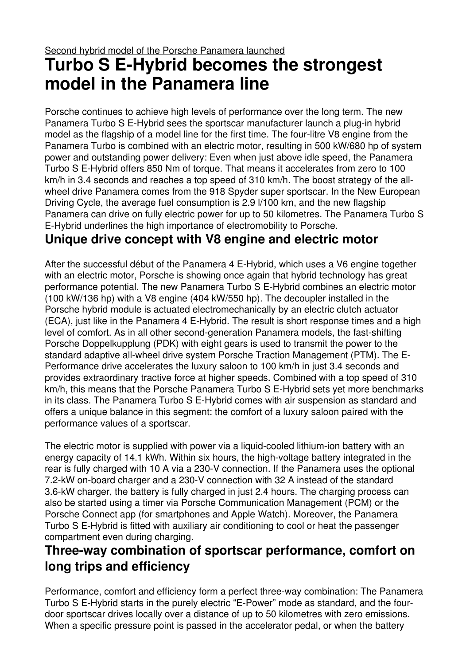## **Turbo S E-Hybrid becomes the strongest model in the Panamera line**

Porsche continues to achieve high levels of performance over the long term. The new Panamera Turbo S E-Hybrid sees the sportscar manufacturer launch a plug-in hybrid model as the flagship of a model line for the first time. The four-litre V8 engine from the Panamera Turbo is combined with an electric motor, resulting in 500 kW/680 hp of system power and outstanding power delivery: Even when just above idle speed, the Panamera Turbo S E-Hybrid offers 850 Nm of torque. That means it accelerates from zero to 100 km/h in 3.4 seconds and reaches a top speed of 310 km/h. The boost strategy of the allwheel drive Panamera comes from the 918 Spyder super sportscar. In the New European Driving Cycle, the average fuel consumption is 2.9 l/100 km, and the new flagship Panamera can drive on fully electric power for up to 50 kilometres. The Panamera Turbo S E-Hybrid underlines the high importance of electromobility to Porsche.

## **Unique drive concept with V8 engine and electric motor**

After the successful début of the Panamera 4 E-Hybrid, which uses a V6 engine together with an electric motor, Porsche is showing once again that hybrid technology has great performance potential. The new Panamera Turbo S E-Hybrid combines an electric motor (100 kW/136 hp) with a V8 engine (404 kW/550 hp). The decoupler installed in the Porsche hybrid module is actuated electromechanically by an electric clutch actuator (ECA), just like in the Panamera 4 E-Hybrid. The result is short response times and a high level of comfort. As in all other second-generation Panamera models, the fast-shifting Porsche Doppelkupplung (PDK) with eight gears is used to transmit the power to the standard adaptive all-wheel drive system Porsche Traction Management (PTM). The E-Performance drive accelerates the luxury saloon to 100 km/h in just 3.4 seconds and provides extraordinary tractive force at higher speeds. Combined with a top speed of 310 km/h, this means that the Porsche Panamera Turbo S E-Hybrid sets yet more benchmarks in its class. The Panamera Turbo S E-Hybrid comes with air suspension as standard and offers a unique balance in this segment: the comfort of a luxury saloon paired with the performance values of a sportscar.

The electric motor is supplied with power via a liquid-cooled lithium-ion battery with an energy capacity of 14.1 kWh. Within six hours, the high-voltage battery integrated in the rear is fully charged with 10 A via a 230-V connection. If the Panamera uses the optional 7.2-kW on-board charger and a 230-V connection with 32 A instead of the standard 3.6-kW charger, the battery is fully charged in just 2.4 hours. The charging process can also be started using a timer via Porsche Communication Management (PCM) or the Porsche Connect app (for smartphones and Apple Watch). Moreover, the Panamera Turbo S E-Hybrid is fitted with auxiliary air conditioning to cool or heat the passenger compartment even during charging.

## **Three-way combination of sportscar performance, comfort on long trips and efficiency**

Performance, comfort and efficiency form a perfect three-way combination: The Panamera Turbo S E-Hybrid starts in the purely electric "E-Power" mode as standard, and the fourdoor sportscar drives locally over a distance of up to 50 kilometres with zero emissions. When a specific pressure point is passed in the accelerator pedal, or when the battery